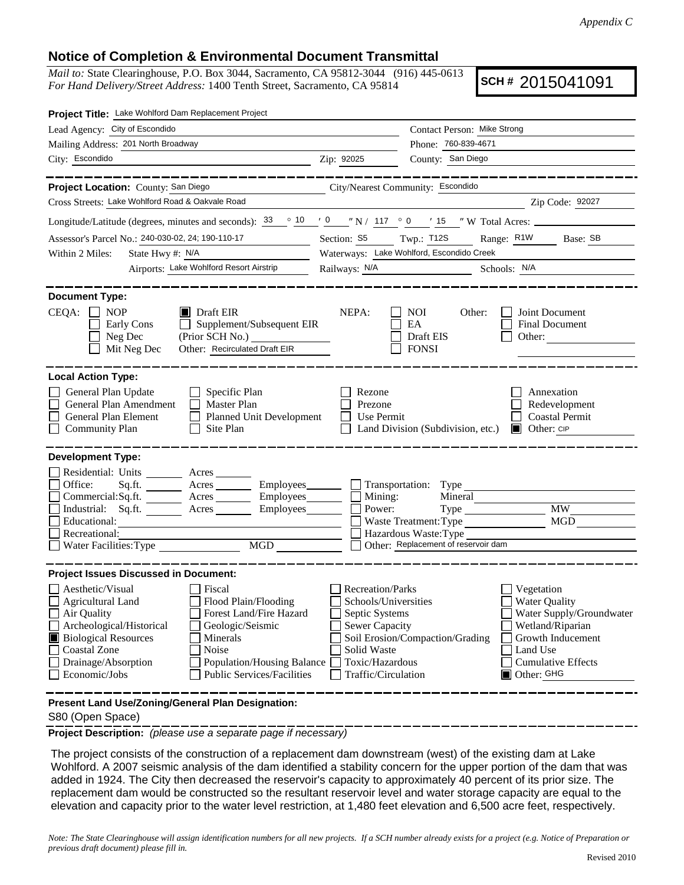## **Notice of Completion & Environmental Document Transmittal**

*Mail to:* State Clearinghouse, P.O. Box 3044, Sacramento, CA 95812-3044 (916) 445-0613 *For Hand Delivery/Street Address:* 1400 Tenth Street, Sacramento, CA 95814

**SCH #** 2015041091

| Project Title: Lake Wohlford Dam Replacement Project                                                                                                                                                                                                                                                                                                                                                           |                                                                                                                                              |                                                                                                                                                                                                   |  |  |  |
|----------------------------------------------------------------------------------------------------------------------------------------------------------------------------------------------------------------------------------------------------------------------------------------------------------------------------------------------------------------------------------------------------------------|----------------------------------------------------------------------------------------------------------------------------------------------|---------------------------------------------------------------------------------------------------------------------------------------------------------------------------------------------------|--|--|--|
| Lead Agency: City of Escondido                                                                                                                                                                                                                                                                                                                                                                                 |                                                                                                                                              | Contact Person: Mike Strong                                                                                                                                                                       |  |  |  |
| Mailing Address: 201 North Broadway                                                                                                                                                                                                                                                                                                                                                                            |                                                                                                                                              | Phone: 760-839-4671                                                                                                                                                                               |  |  |  |
| City: Escondido<br><u> 1980 - Johann Barn, mars eta bainar eta gaztean (h. 1980).</u>                                                                                                                                                                                                                                                                                                                          | Zip: 92025                                                                                                                                   | County: San Diego                                                                                                                                                                                 |  |  |  |
| ________                                                                                                                                                                                                                                                                                                                                                                                                       |                                                                                                                                              |                                                                                                                                                                                                   |  |  |  |
| Project Location: County: San Diego                                                                                                                                                                                                                                                                                                                                                                            |                                                                                                                                              | City/Nearest Community: Escondido                                                                                                                                                                 |  |  |  |
| Cross Streets: Lake Wohlford Road & Oakvale Road                                                                                                                                                                                                                                                                                                                                                               |                                                                                                                                              | Zip Code: 92027                                                                                                                                                                                   |  |  |  |
| Longitude/Latitude (degrees, minutes and seconds): $\frac{33}{2}$ $\frac{10}{2}$ $\frac{10}{2}$ $\frac{10}{2}$ $\frac{10}{2}$ $\frac{10}{2}$ $\frac{10}{2}$ $\frac{10}{2}$ $\frac{10}{2}$ $\frac{10}{2}$ $\frac{10}{2}$ $\frac{10}{2}$ $\frac{10}{2}$ $\frac{10}{2}$ $\frac{10}{2}$ $\frac{1$                                                                                                                  |                                                                                                                                              |                                                                                                                                                                                                   |  |  |  |
| Assessor's Parcel No.: 240-030-02, 24; 190-110-17                                                                                                                                                                                                                                                                                                                                                              | Section: S5 Twp.: T12S Range: R1W Base: SB                                                                                                   |                                                                                                                                                                                                   |  |  |  |
| Within 2 Miles:<br>State Hwy #: $N/A$                                                                                                                                                                                                                                                                                                                                                                          | Waterways: Lake Wohlford, Escondido Creek                                                                                                    |                                                                                                                                                                                                   |  |  |  |
| Airports: Lake Wohlford Resort Airstrip                                                                                                                                                                                                                                                                                                                                                                        |                                                                                                                                              | Railways: N/A Schools: N/A                                                                                                                                                                        |  |  |  |
| <b>Document Type:</b><br>CEQA:<br><b>NOP</b><br>$\blacksquare$ Draft EIR<br>Supplement/Subsequent EIR<br>Early Cons<br>$\Box$<br>Neg Dec<br>Other: Recirculated Draft EIR<br>Mit Neg Dec                                                                                                                                                                                                                       | NEPA:                                                                                                                                        | Joint Document<br>NOI<br>Other:<br>EA<br>Final Document<br>Draft EIS<br>Other:<br><b>FONSI</b>                                                                                                    |  |  |  |
| <b>Local Action Type:</b><br>General Plan Update<br>$\Box$ Specific Plan<br>General Plan Amendment<br>Master Plan<br>General Plan Element<br>Planned Unit Development<br><b>Community Plan</b><br>Site Plan<br>$\Box$                                                                                                                                                                                          | Rezone<br>Prezone<br>Use Permit<br>$\mathbf{I}$                                                                                              | Annexation<br>Redevelopment<br><b>Coastal Permit</b><br>Land Division (Subdivision, etc.)<br>$\Box$ Other: CIP                                                                                    |  |  |  |
| <b>Development Type:</b><br>Residential: Units ________ Acres _______<br>Office:<br>Sq.ft. _________ Acres ___________ Employees_________<br>Commercial:Sq.ft. _________ Acres __________ Employees _______<br>Industrial: Sq.ft. _______ Acres ________ Employees_______<br>Educational:<br>Recreational:<br>Water Facilities: Type MGD                                                                       | Mining:<br>Power:                                                                                                                            | Transportation: Type<br>Mineral<br><b>MW</b><br>$\rm MGD$<br>Waste Treatment: Type<br>Hazardous Waste: Type<br>Other: Replacement of reservoir dam                                                |  |  |  |
| <b>Project Issues Discussed in Document:</b><br>Aesthetic/Visual<br>Fiscal<br>Agricultural Land<br>Flood Plain/Flooding<br>Forest Land/Fire Hazard<br>Air Quality<br>Archeological/Historical<br>Geologic/Seismic<br><b>Biological Resources</b><br>Minerals<br>Noise<br><b>Coastal Zone</b><br>Drainage/Absorption<br><b>Population/Housing Balance</b><br><b>Public Services/Facilities</b><br>Economic/Jobs | Recreation/Parks<br>Schools/Universities<br>Septic Systems<br><b>Sewer Capacity</b><br>Solid Waste<br>Toxic/Hazardous<br>Traffic/Circulation | Vegetation<br><b>Water Quality</b><br>Water Supply/Groundwater<br>Wetland/Riparian<br>Soil Erosion/Compaction/Grading<br>Growth Inducement<br>Land Use<br><b>Cumulative Effects</b><br>Other: GHG |  |  |  |
| Present Land Use/Zoning/General Plan Designation:                                                                                                                                                                                                                                                                                                                                                              |                                                                                                                                              |                                                                                                                                                                                                   |  |  |  |

S80 (Open Space)

**Project Description:** *(please use a separate page if necessary)*

 The project consists of the construction of a replacement dam downstream (west) of the existing dam at Lake Wohlford. A 2007 seismic analysis of the dam identified a stability concern for the upper portion of the dam that was added in 1924. The City then decreased the reservoir's capacity to approximately 40 percent of its prior size. The replacement dam would be constructed so the resultant reservoir level and water storage capacity are equal to the elevation and capacity prior to the water level restriction, at 1,480 feet elevation and 6,500 acre feet, respectively.

*Note: The State Clearinghouse will assign identification numbers for all new projects. If a SCH number already exists for a project (e.g. Notice of Preparation or previous draft document) please fill in.*